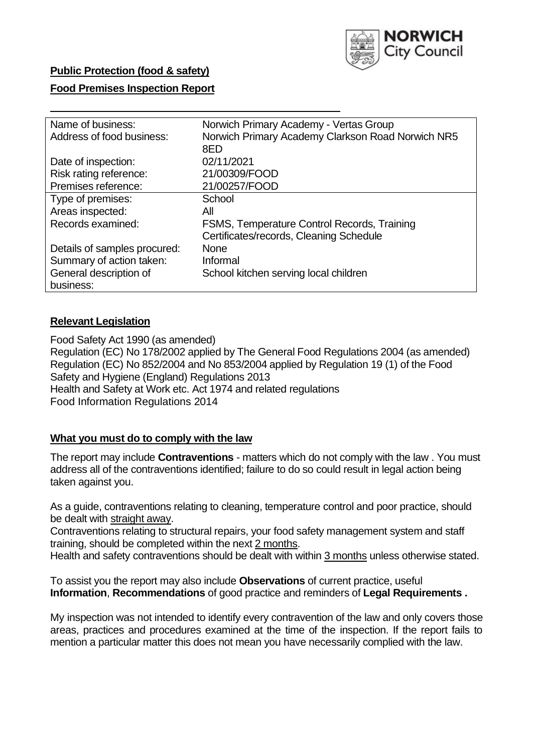

### **Public Protection (food & safety)**

### **Food Premises Inspection Report**

| Name of business:            | Norwich Primary Academy - Vertas Group            |  |  |  |
|------------------------------|---------------------------------------------------|--|--|--|
| Address of food business:    | Norwich Primary Academy Clarkson Road Norwich NR5 |  |  |  |
|                              | 8FD                                               |  |  |  |
| Date of inspection:          | 02/11/2021                                        |  |  |  |
| Risk rating reference:       | 21/00309/FOOD                                     |  |  |  |
| Premises reference:          | 21/00257/FOOD                                     |  |  |  |
| Type of premises:            | School                                            |  |  |  |
| Areas inspected:             | All                                               |  |  |  |
| Records examined:            | FSMS, Temperature Control Records, Training       |  |  |  |
|                              | Certificates/records, Cleaning Schedule           |  |  |  |
| Details of samples procured: | <b>None</b>                                       |  |  |  |
| Summary of action taken:     | Informal                                          |  |  |  |
| General description of       | School kitchen serving local children             |  |  |  |
| business:                    |                                                   |  |  |  |

#### **Relevant Legislation**

 Food Safety Act 1990 (as amended) Regulation (EC) No 178/2002 applied by The General Food Regulations 2004 (as amended) Regulation (EC) No 852/2004 and No 853/2004 applied by Regulation 19 (1) of the Food Safety and Hygiene (England) Regulations 2013 Health and Safety at Work etc. Act 1974 and related regulations Food Information Regulations 2014

#### **What you must do to comply with the law**

 The report may include **Contraventions** - matters which do not comply with the law . You must address all of the contraventions identified; failure to do so could result in legal action being taken against you.

 As a guide, contraventions relating to cleaning, temperature control and poor practice, should be dealt with straight away.

 Contraventions relating to structural repairs, your food safety management system and staff training, should be completed within the next 2 months.

Health and safety contraventions should be dealt with within 3 months unless otherwise stated.

 To assist you the report may also include **Observations** of current practice, useful **Information**, **Recommendations** of good practice and reminders of **Legal Requirements .** 

 My inspection was not intended to identify every contravention of the law and only covers those areas, practices and procedures examined at the time of the inspection. If the report fails to mention a particular matter this does not mean you have necessarily complied with the law.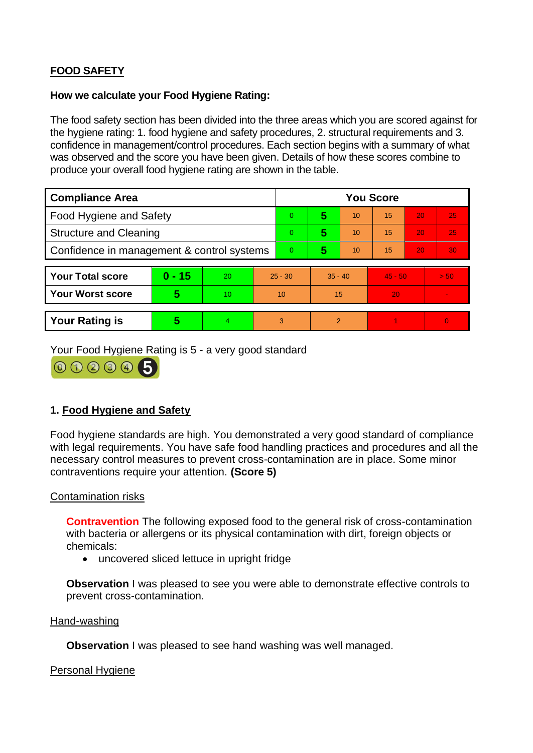# **FOOD SAFETY**

#### **How we calculate your Food Hygiene Rating:**

 The food safety section has been divided into the three areas which you are scored against for the hygiene rating: 1. food hygiene and safety procedures, 2. structural requirements and 3. confidence in management/control procedures. Each section begins with a summary of what was observed and the score you have been given. Details of how these scores combine to produce your overall food hygiene rating are shown in the table.

| <b>Compliance Area</b>                     |          |                |                | <b>You Score</b> |                |    |           |    |                |  |  |
|--------------------------------------------|----------|----------------|----------------|------------------|----------------|----|-----------|----|----------------|--|--|
| <b>Food Hygiene and Safety</b>             |          |                |                | $\Omega$         | 5              | 10 | 15        | 20 | 25             |  |  |
| <b>Structure and Cleaning</b>              |          |                |                | $\overline{0}$   | 5              | 10 | 15        | 20 | 25             |  |  |
| Confidence in management & control systems |          |                | $\overline{0}$ | 5                | 10             | 15 | 20        | 30 |                |  |  |
|                                            |          |                |                |                  |                |    |           |    |                |  |  |
| <b>Your Total score</b>                    | $0 - 15$ | 20             | $25 - 30$      |                  | $35 - 40$      |    | $45 - 50$ |    | > 50           |  |  |
| <b>Your Worst score</b>                    | 5        | 10             | 10             |                  | 15             |    | 20        |    |                |  |  |
|                                            |          |                |                |                  |                |    |           |    |                |  |  |
| <b>Your Rating is</b>                      | 5        | $\overline{4}$ | 3              |                  | $\overline{2}$ |    |           |    | $\overline{0}$ |  |  |

Your Food Hygiene Rating is 5 - a very good standard



## **1. Food Hygiene and Safety**

 with legal requirements. You have safe food handling practices and procedures and all the Food hygiene standards are high. You demonstrated a very good standard of compliance necessary control measures to prevent cross-contamination are in place. Some minor contraventions require your attention. **(Score 5)** 

### Contamination risks

 with bacteria or allergens or its physical contamination with dirt, foreign objects or **Contravention** The following exposed food to the general risk of cross-contamination chemicals:

• uncovered sliced lettuce in upright fridge

**Observation** I was pleased to see you were able to demonstrate effective controls to prevent cross-contamination.

#### Hand-washing

**Observation** I was pleased to see hand washing was well managed.

Personal Hygiene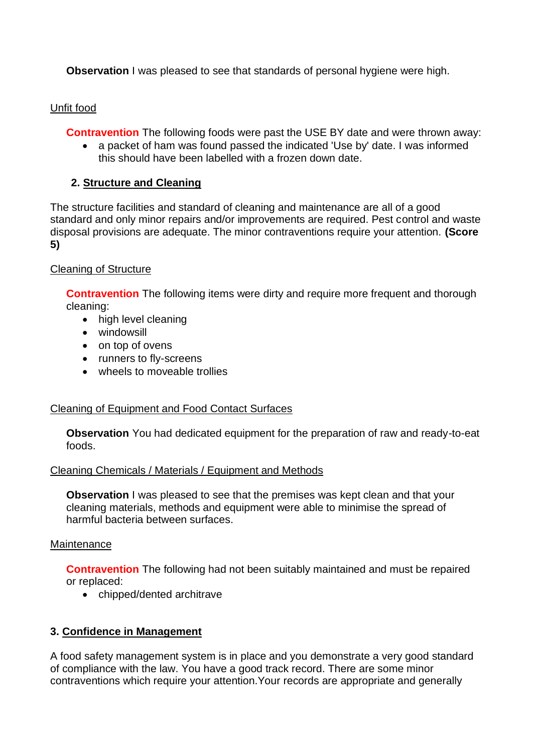**Observation** I was pleased to see that standards of personal hygiene were high.

# Unfit food

**Contravention** The following foods were past the USE BY date and were thrown away:

• a packet of ham was found passed the indicated 'Use by' date. I was informed this should have been labelled with a frozen down date.

# **2. Structure and Cleaning**

The structure facilities and standard of cleaning and maintenance are all of a good standard and only minor repairs and/or improvements are required. Pest control and waste disposal provisions are adequate. The minor contraventions require your attention. **(Score 5)** 

## Cleaning of Structure

**Contravention** The following items were dirty and require more frequent and thorough cleaning:

- high level cleaning
- windowsill
- on top of ovens
- runners to fly-screens
- wheels to moveable trollies

## Cleaning of Equipment and Food Contact Surfaces

**Observation** You had dedicated equipment for the preparation of raw and ready-to-eat foods.

## Cleaning Chemicals / Materials / Equipment and Methods

**Observation** I was pleased to see that the premises was kept clean and that your cleaning materials, methods and equipment were able to minimise the spread of harmful bacteria between surfaces.

## **Maintenance**

**Contravention** The following had not been suitably maintained and must be repaired or replaced:

• chipped/dented architrave

# **3. Confidence in Management**

 of compliance with the law. You have a good track record. There are some minor A food safety management system is in place and you demonstrate a very good standard contraventions which require your attention.Your records are appropriate and generally